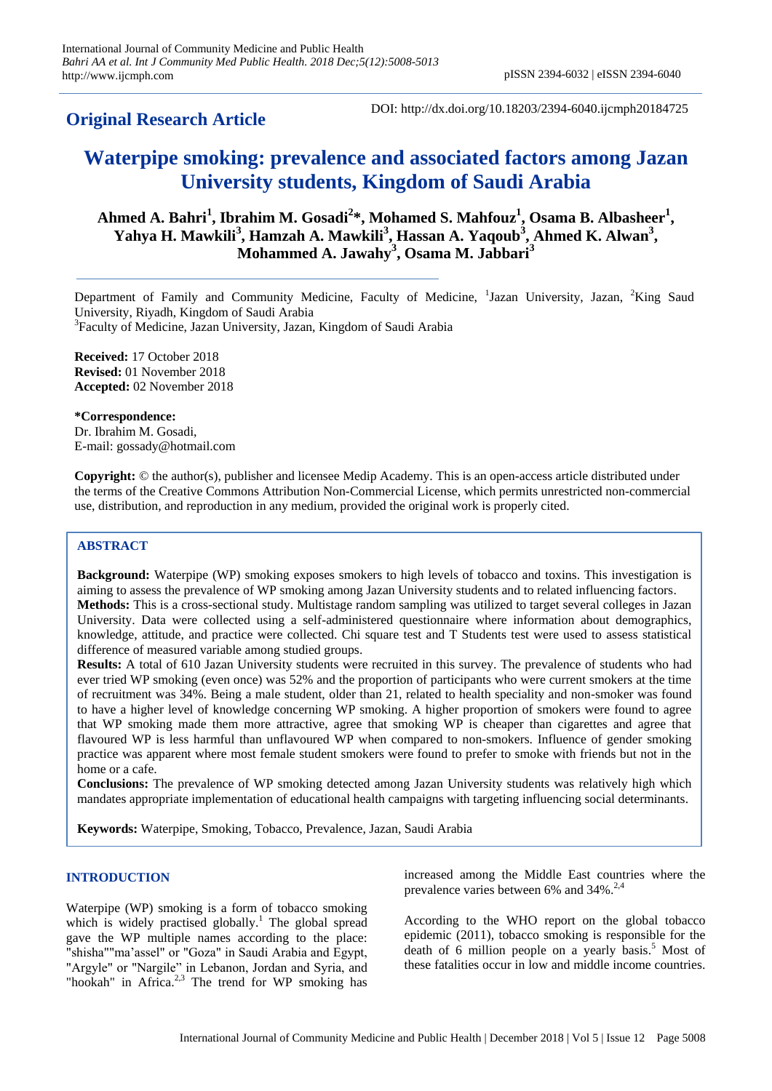# **Original Research Article**

DOI: http://dx.doi.org/10.18203/2394-6040.ijcmph20184725

# **Waterpipe smoking: prevalence and associated factors among Jazan University students, Kingdom of Saudi Arabia**

**Ahmed A. Bahri<sup>1</sup> , Ibrahim M. Gosadi<sup>2</sup> \*, Mohamed S. Mahfouz<sup>1</sup> , Osama B. Albasheer<sup>1</sup> ,**  Yahya H. Mawkili<sup>3</sup>, Hamzah A. Mawkili<sup>3</sup>, Hassan A. Yaqoub<sup>3</sup>, Ahmed K. Alwan<sup>3</sup>, **Mohammed A. Jawahy<sup>3</sup> , Osama M. Jabbari<sup>3</sup>**

Department of Family and Community Medicine, Faculty of Medicine, <sup>1</sup>Jazan University, Jazan, <sup>2</sup>King Saud University, Riyadh, Kingdom of Saudi Arabia

3 Faculty of Medicine, Jazan University, Jazan, Kingdom of Saudi Arabia

**Received:** 17 October 2018 **Revised:** 01 November 2018 **Accepted:** 02 November 2018

**\*Correspondence:** Dr. Ibrahim M. Gosadi, E-mail: gossady@hotmail.com

**Copyright:** © the author(s), publisher and licensee Medip Academy. This is an open-access article distributed under the terms of the Creative Commons Attribution Non-Commercial License, which permits unrestricted non-commercial use, distribution, and reproduction in any medium, provided the original work is properly cited.

## **ABSTRACT**

**Background:** Waterpipe (WP) smoking exposes smokers to high levels of tobacco and toxins. This investigation is aiming to assess the prevalence of WP smoking among Jazan University students and to related influencing factors. **Methods:** This is a cross-sectional study. Multistage random sampling was utilized to target several colleges in Jazan University. Data were collected using a self-administered questionnaire where information about demographics, knowledge, attitude, and practice were collected. Chi square test and T Students test were used to assess statistical difference of measured variable among studied groups.

**Results:** A total of 610 Jazan University students were recruited in this survey. The prevalence of students who had ever tried WP smoking (even once) was 52% and the proportion of participants who were current smokers at the time of recruitment was 34%. Being a male student, older than 21, related to health speciality and non-smoker was found to have a higher level of knowledge concerning WP smoking. A higher proportion of smokers were found to agree that WP smoking made them more attractive, agree that smoking WP is cheaper than cigarettes and agree that flavoured WP is less harmful than unflavoured WP when compared to non-smokers. Influence of gender smoking practice was apparent where most female student smokers were found to prefer to smoke with friends but not in the home or a cafe.

**Conclusions:** The prevalence of WP smoking detected among Jazan University students was relatively high which mandates appropriate implementation of educational health campaigns with targeting influencing social determinants.

**Keywords:** Waterpipe, Smoking, Tobacco, Prevalence, Jazan, Saudi Arabia

#### **INTRODUCTION**

Waterpipe (WP) smoking is a form of tobacco smoking which is widely practised globally.<sup>1</sup> The global spread gave the WP multiple names according to the place: "shisha""ma'assel" or "Goza" in Saudi Arabia and Egypt, "Argyle" or "Nargile" in Lebanon, Jordan and Syria, and "hookah" in Africa.<sup>2,3</sup> The trend for WP smoking has increased among the Middle East countries where the prevalence varies between 6% and 34%.<sup>2,4</sup>

According to the WHO report on the global tobacco epidemic (2011), tobacco smoking is responsible for the death of 6 million people on a yearly basis. <sup>5</sup> Most of these fatalities occur in low and middle income countries.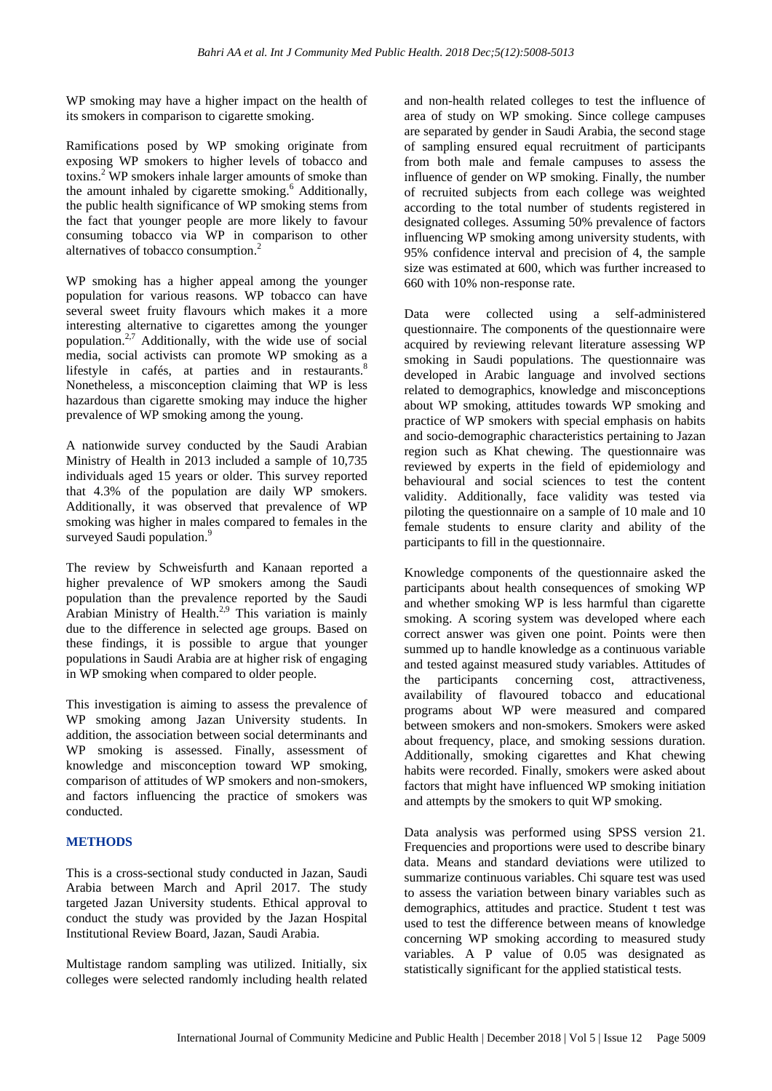WP smoking may have a higher impact on the health of its smokers in comparison to cigarette smoking.

Ramifications posed by WP smoking originate from exposing WP smokers to higher levels of tobacco and toxins. <sup>2</sup> WP smokers inhale larger amounts of smoke than the amount inhaled by cigarette smoking. <sup>6</sup> Additionally, the public health significance of WP smoking stems from the fact that younger people are more likely to favour consuming tobacco via WP in comparison to other alternatives of tobacco consumption.<sup>2</sup>

WP smoking has a higher appeal among the younger population for various reasons. WP tobacco can have several sweet fruity flavours which makes it a more interesting alternative to cigarettes among the younger population. 2,7 Additionally, with the wide use of social media, social activists can promote WP smoking as a lifestyle in cafés, at parties and in restaurants.<sup>8</sup> Nonetheless, a misconception claiming that WP is less hazardous than cigarette smoking may induce the higher prevalence of WP smoking among the young.

A nationwide survey conducted by the Saudi Arabian Ministry of Health in 2013 included a sample of 10,735 individuals aged 15 years or older. This survey reported that 4.3% of the population are daily WP smokers. Additionally, it was observed that prevalence of WP smoking was higher in males compared to females in the surveyed Saudi population.<sup>9</sup>

The review by Schweisfurth and Kanaan reported a higher prevalence of WP smokers among the Saudi population than the prevalence reported by the Saudi Arabian Ministry of Health.<sup>2,9</sup> This variation is mainly due to the difference in selected age groups. Based on these findings, it is possible to argue that younger populations in Saudi Arabia are at higher risk of engaging in WP smoking when compared to older people.

This investigation is aiming to assess the prevalence of WP smoking among Jazan University students. In addition, the association between social determinants and WP smoking is assessed. Finally, assessment of knowledge and misconception toward WP smoking, comparison of attitudes of WP smokers and non-smokers, and factors influencing the practice of smokers was conducted.

# **METHODS**

This is a cross-sectional study conducted in Jazan, Saudi Arabia between March and April 2017. The study targeted Jazan University students. Ethical approval to conduct the study was provided by the Jazan Hospital Institutional Review Board, Jazan, Saudi Arabia.

Multistage random sampling was utilized. Initially, six colleges were selected randomly including health related and non-health related colleges to test the influence of area of study on WP smoking. Since college campuses are separated by gender in Saudi Arabia, the second stage of sampling ensured equal recruitment of participants from both male and female campuses to assess the influence of gender on WP smoking. Finally, the number of recruited subjects from each college was weighted according to the total number of students registered in designated colleges. Assuming 50% prevalence of factors influencing WP smoking among university students, with 95% confidence interval and precision of 4, the sample size was estimated at 600, which was further increased to 660 with 10% non-response rate.

Data were collected using a self-administered questionnaire. The components of the questionnaire were acquired by reviewing relevant literature assessing WP smoking in Saudi populations. The questionnaire was developed in Arabic language and involved sections related to demographics, knowledge and misconceptions about WP smoking, attitudes towards WP smoking and practice of WP smokers with special emphasis on habits and socio-demographic characteristics pertaining to Jazan region such as Khat chewing. The questionnaire was reviewed by experts in the field of epidemiology and behavioural and social sciences to test the content validity. Additionally, face validity was tested via piloting the questionnaire on a sample of 10 male and 10 female students to ensure clarity and ability of the participants to fill in the questionnaire.

Knowledge components of the questionnaire asked the participants about health consequences of smoking WP and whether smoking WP is less harmful than cigarette smoking. A scoring system was developed where each correct answer was given one point. Points were then summed up to handle knowledge as a continuous variable and tested against measured study variables. Attitudes of the participants concerning cost, attractiveness, availability of flavoured tobacco and educational programs about WP were measured and compared between smokers and non-smokers. Smokers were asked about frequency, place, and smoking sessions duration. Additionally, smoking cigarettes and Khat chewing habits were recorded. Finally, smokers were asked about factors that might have influenced WP smoking initiation and attempts by the smokers to quit WP smoking.

Data analysis was performed using SPSS version 21. Frequencies and proportions were used to describe binary data. Means and standard deviations were utilized to summarize continuous variables. Chi square test was used to assess the variation between binary variables such as demographics, attitudes and practice. Student t test was used to test the difference between means of knowledge concerning WP smoking according to measured study variables. A P value of 0.05 was designated as statistically significant for the applied statistical tests.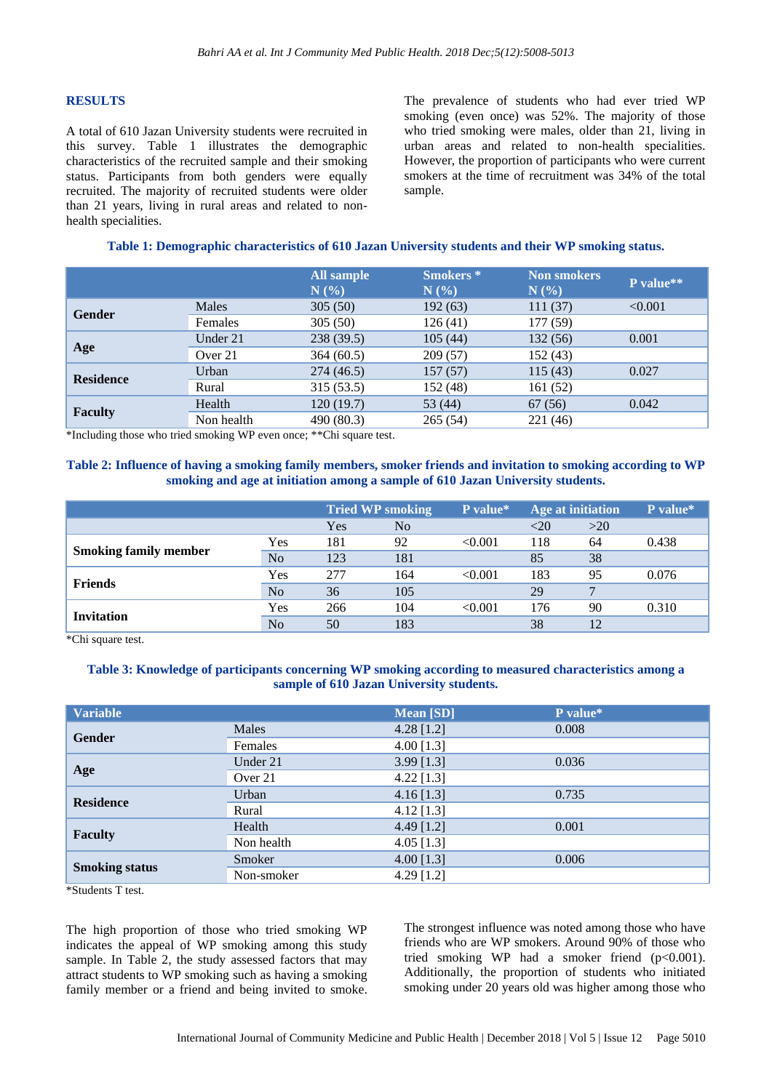#### **RESULTS**

A total of 610 Jazan University students were recruited in this survey. Table 1 illustrates the demographic characteristics of the recruited sample and their smoking status. Participants from both genders were equally recruited. The majority of recruited students were older than 21 years, living in rural areas and related to nonhealth specialities.

The prevalence of students who had ever tried WP smoking (even once) was 52%. The majority of those who tried smoking were males, older than 21, living in urban areas and related to non-health specialities. However, the proportion of participants who were current smokers at the time of recruitment was 34% of the total sample.

#### **Table 1: Demographic characteristics of 610 Jazan University students and their WP smoking status.**

|                  |            | All sample<br>N(%) | <b>Smokers</b> *<br>N(% | <b>Non smokers</b><br>N(%) | P value** |
|------------------|------------|--------------------|-------------------------|----------------------------|-----------|
| <b>Gender</b>    | Males      | 305(50)            | 192(63)                 | 111(37)                    | < 0.001   |
|                  | Females    | 305(50)            | 126(41)                 | 177(59)                    |           |
| Age              | Under 21   | 238(39.5)          | 105(44)                 | 132 (56)                   | 0.001     |
|                  | Over 21    | 364(60.5)          | 209(57)                 | 152(43)                    |           |
| <b>Residence</b> | Urban      | 274(46.5)          | 157(57)                 | 115(43)                    | 0.027     |
|                  | Rural      | 315 (53.5)         | 152 (48)                | 161(52)                    |           |
| <b>Faculty</b>   | Health     | 120(19.7)          | 53 $(44)$               | 67(56)                     | 0.042     |
|                  | Non health | 490(80.3)          | 265(54)                 | 221 (46)                   |           |

\*Including those who tried smoking WP even once; \*\*Chi square test.

#### **Table 2: Influence of having a smoking family members, smoker friends and invitation to smoking according to WP smoking and age at initiation among a sample of 610 Jazan University students.**

|                              |                | <b>Tried WP smoking</b> |                | P value* | <b>Age at initiation</b> |     | P value* |
|------------------------------|----------------|-------------------------|----------------|----------|--------------------------|-----|----------|
|                              |                | Yes                     | N <sub>0</sub> |          | <20                      | >20 |          |
| <b>Smoking family member</b> | Yes            | 181                     | 92             | < 0.001  | 118                      | 64  | 0.438    |
|                              | N <sub>o</sub> | 123                     | 181            |          | 85                       | 38  |          |
|                              | Yes            | 277                     | 164            | < 0.001  | 183                      | 95  | 0.076    |
| <b>Friends</b>               | N <sub>o</sub> | 36                      | 105            |          | 29                       |     |          |
| <b>Invitation</b>            | Yes            | 266                     | 104            | < 0.001  | 176                      | 90  | 0.310    |
|                              | N <sub>o</sub> | 50                      | 183            |          | 38                       | 12  |          |

\*Chi square test.

#### **Table 3: Knowledge of participants concerning WP smoking according to measured characteristics among a sample of 610 Jazan University students.**

| <b>Variable</b>       |            | <b>Mean</b> [SD] | P value* |
|-----------------------|------------|------------------|----------|
| <b>Gender</b>         | Males      | $4.28$ [1.2]     | 0.008    |
|                       | Females    | 4.00 $[1.3]$     |          |
| Age                   | Under 21   | $3.99$ [1.3]     | 0.036    |
|                       | Over 21    | $4.22$ [1.3]     |          |
| <b>Residence</b>      | Urban      | $4.16$ [1.3]     | 0.735    |
|                       | Rural      | $4.12$ [1.3]     |          |
|                       | Health     | 4.49 $[1.2]$     | 0.001    |
| <b>Faculty</b>        | Non health | 4.05 $[1.3]$     |          |
| <b>Smoking status</b> | Smoker     | 4.00 $[1.3]$     | 0.006    |
|                       | Non-smoker | 4.29 $[1.2]$     |          |

\*Students T test.

The high proportion of those who tried smoking WP indicates the appeal of WP smoking among this study sample. In Table 2, the study assessed factors that may attract students to WP smoking such as having a smoking family member or a friend and being invited to smoke.

The strongest influence was noted among those who have friends who are WP smokers. Around 90% of those who tried smoking WP had a smoker friend (p<0.001). Additionally, the proportion of students who initiated smoking under 20 years old was higher among those who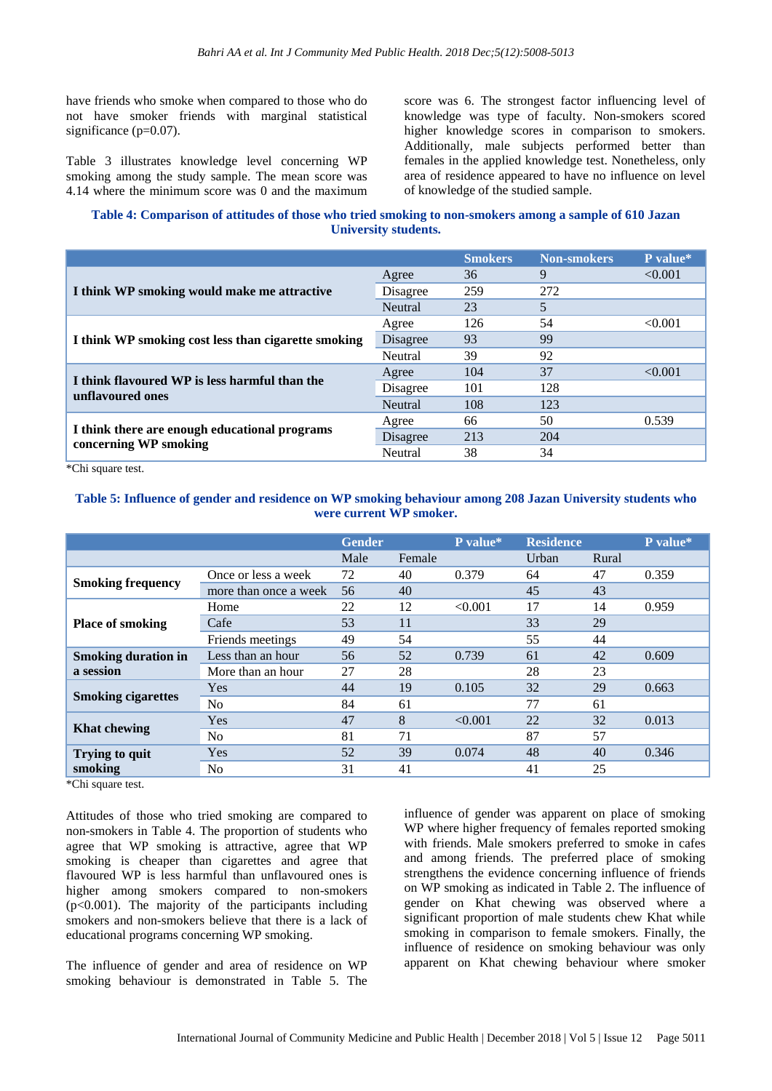have friends who smoke when compared to those who do not have smoker friends with marginal statistical significance (p=0.07).

Table 3 illustrates knowledge level concerning WP smoking among the study sample. The mean score was 4.14 where the minimum score was 0 and the maximum score was 6. The strongest factor influencing level of knowledge was type of faculty. Non-smokers scored higher knowledge scores in comparison to smokers. Additionally, male subjects performed better than females in the applied knowledge test. Nonetheless, only area of residence appeared to have no influence on level of knowledge of the studied sample.

# **Table 4: Comparison of attitudes of those who tried smoking to non-smokers among a sample of 610 Jazan University students.**

|                                                                   |          | <b>Smokers</b> | <b>Non-smokers</b> | P value* |
|-------------------------------------------------------------------|----------|----------------|--------------------|----------|
|                                                                   | Agree    | 36             | 9                  | < 0.001  |
| I think WP smoking would make me attractive                       | Disagree | 259            | 272                |          |
|                                                                   | Neutral  | 23             | 5                  |          |
|                                                                   | Agree    | 126            | 54                 | < 0.001  |
| I think WP smoking cost less than cigarette smoking               | Disagree | 93             | 99                 |          |
|                                                                   | Neutral  | 39             | 92                 |          |
|                                                                   | Agree    | 104            | 37                 | < 0.001  |
| I think flavoured WP is less harmful than the<br>unflavoured ones | Disagree | 101            | 128                |          |
|                                                                   | Neutral  | 108            | 123                |          |
|                                                                   | Agree    | 66             | 50                 | 0.539    |
| I think there are enough educational programs                     | Disagree | 213            | 204                |          |
| concerning WP smoking                                             | Neutral  | 38             | 34                 |          |

\*Chi square test.

## **Table 5: Influence of gender and residence on WP smoking behaviour among 208 Jazan University students who were current WP smoker.**

|                                         |                       | <b>Gender</b> |        | P value* | <b>Residence</b> |       | P value* |
|-----------------------------------------|-----------------------|---------------|--------|----------|------------------|-------|----------|
|                                         |                       | Male          | Female |          | Urban            | Rural |          |
| <b>Smoking frequency</b>                | Once or less a week   | 72            | 40     | 0.379    | 64               | 47    | 0.359    |
|                                         | more than once a week | 56            | 40     |          | 45               | 43    |          |
|                                         | Home                  | 22            | 12     | < 0.001  | 17               | 14    | 0.959    |
| <b>Place of smoking</b>                 | Cafe                  | 53            | 11     |          | 33               | 29    |          |
|                                         | Friends meetings      | 49            | 54     |          | 55               | 44    |          |
| <b>Smoking duration in</b><br>a session | Less than an hour     | 56            | 52     | 0.739    | 61               | 42    | 0.609    |
|                                         | More than an hour     | 27            | 28     |          | 28               | 23    |          |
| <b>Smoking cigarettes</b>               | <b>Yes</b>            | 44            | 19     | 0.105    | 32               | 29    | 0.663    |
|                                         | N <sub>0</sub>        | 84            | 61     |          | 77               | 61    |          |
| <b>Khat chewing</b>                     | Yes                   | 47            | 8      | < 0.001  | 22               | 32    | 0.013    |
|                                         | N <sub>0</sub>        | 81            | 71     |          | 87               | 57    |          |
| Trying to quit                          | Yes                   | 52            | 39     | 0.074    | 48               | 40    | 0.346    |
| smoking                                 | N <sub>0</sub>        | 31            | 41     |          | 41               | 25    |          |

\*Chi square test.

Attitudes of those who tried smoking are compared to non-smokers in Table 4. The proportion of students who agree that WP smoking is attractive, agree that WP smoking is cheaper than cigarettes and agree that flavoured WP is less harmful than unflavoured ones is higher among smokers compared to non-smokers  $(p<0.001)$ . The majority of the participants including smokers and non-smokers believe that there is a lack of educational programs concerning WP smoking.

The influence of gender and area of residence on WP smoking behaviour is demonstrated in Table 5. The influence of gender was apparent on place of smoking WP where higher frequency of females reported smoking with friends. Male smokers preferred to smoke in cafes and among friends. The preferred place of smoking strengthens the evidence concerning influence of friends on WP smoking as indicated in Table 2. The influence of gender on Khat chewing was observed where a significant proportion of male students chew Khat while smoking in comparison to female smokers. Finally, the influence of residence on smoking behaviour was only apparent on Khat chewing behaviour where smoker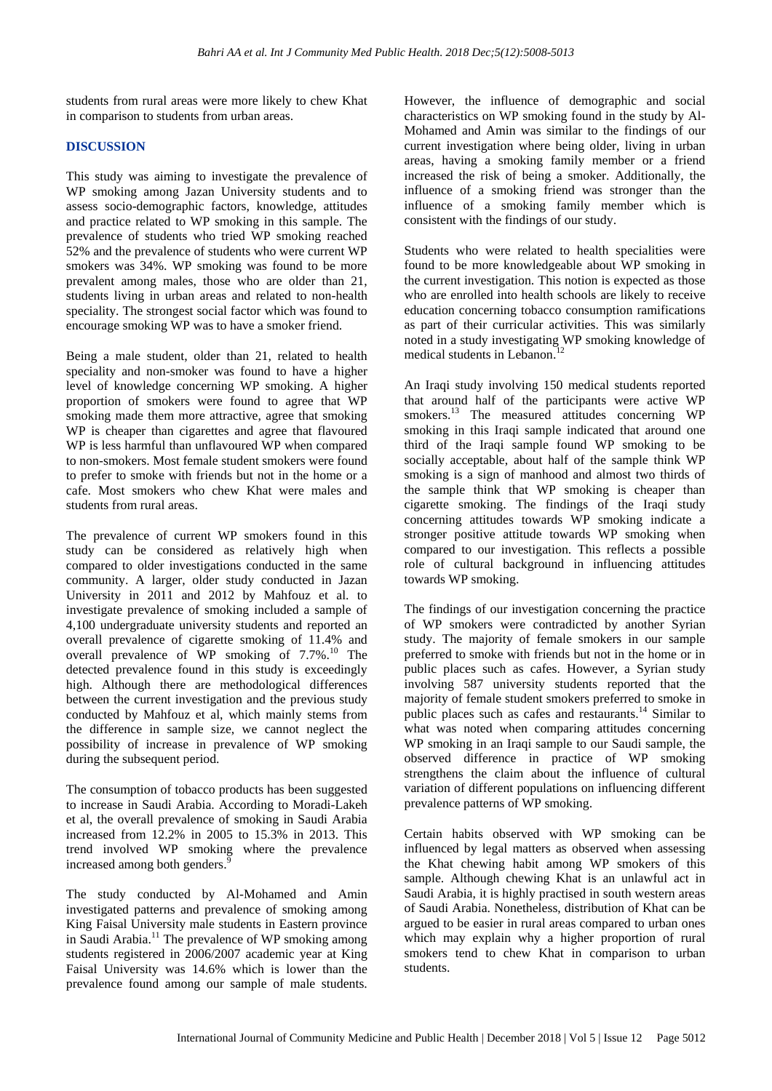students from rural areas were more likely to chew Khat in comparison to students from urban areas.

#### **DISCUSSION**

This study was aiming to investigate the prevalence of WP smoking among Jazan University students and to assess socio-demographic factors, knowledge, attitudes and practice related to WP smoking in this sample. The prevalence of students who tried WP smoking reached 52% and the prevalence of students who were current WP smokers was 34%. WP smoking was found to be more prevalent among males, those who are older than 21, students living in urban areas and related to non-health speciality. The strongest social factor which was found to encourage smoking WP was to have a smoker friend.

Being a male student, older than 21, related to health speciality and non-smoker was found to have a higher level of knowledge concerning WP smoking. A higher proportion of smokers were found to agree that WP smoking made them more attractive, agree that smoking WP is cheaper than cigarettes and agree that flavoured WP is less harmful than unflavoured WP when compared to non-smokers. Most female student smokers were found to prefer to smoke with friends but not in the home or a cafe. Most smokers who chew Khat were males and students from rural areas.

The prevalence of current WP smokers found in this study can be considered as relatively high when compared to older investigations conducted in the same community. A larger, older study conducted in Jazan University in 2011 and 2012 by Mahfouz et al. to investigate prevalence of smoking included a sample of 4,100 undergraduate university students and reported an overall prevalence of cigarette smoking of 11.4% and overall prevalence of WP smoking of 7.7%. <sup>10</sup> The detected prevalence found in this study is exceedingly high. Although there are methodological differences between the current investigation and the previous study conducted by Mahfouz et al, which mainly stems from the difference in sample size, we cannot neglect the possibility of increase in prevalence of WP smoking during the subsequent period.

The consumption of tobacco products has been suggested to increase in Saudi Arabia. According to Moradi-Lakeh et al, the overall prevalence of smoking in Saudi Arabia increased from 12.2% in 2005 to 15.3% in 2013. This trend involved WP smoking where the prevalence increased among both genders.

The study conducted by Al-Mohamed and Amin investigated patterns and prevalence of smoking among King Faisal University male students in Eastern province in Saudi Arabia. <sup>11</sup> The prevalence of WP smoking among students registered in 2006/2007 academic year at King Faisal University was 14.6% which is lower than the prevalence found among our sample of male students. However, the influence of demographic and social characteristics on WP smoking found in the study by Al-Mohamed and Amin was similar to the findings of our current investigation where being older, living in urban areas, having a smoking family member or a friend increased the risk of being a smoker. Additionally, the influence of a smoking friend was stronger than the influence of a smoking family member which is consistent with the findings of our study.

Students who were related to health specialities were found to be more knowledgeable about WP smoking in the current investigation. This notion is expected as those who are enrolled into health schools are likely to receive education concerning tobacco consumption ramifications as part of their curricular activities. This was similarly noted in a study investigating WP smoking knowledge of medical students in Lebanon. 12

An Iraqi study involving 150 medical students reported that around half of the participants were active WP smokers. <sup>13</sup> The measured attitudes concerning WP smoking in this Iraqi sample indicated that around one third of the Iraqi sample found WP smoking to be socially acceptable, about half of the sample think WP smoking is a sign of manhood and almost two thirds of the sample think that WP smoking is cheaper than cigarette smoking. The findings of the Iraqi study concerning attitudes towards WP smoking indicate a stronger positive attitude towards WP smoking when compared to our investigation. This reflects a possible role of cultural background in influencing attitudes towards WP smoking.

The findings of our investigation concerning the practice of WP smokers were contradicted by another Syrian study. The majority of female smokers in our sample preferred to smoke with friends but not in the home or in public places such as cafes. However, a Syrian study involving 587 university students reported that the majority of female student smokers preferred to smoke in public places such as cafes and restaurants. <sup>14</sup> Similar to what was noted when comparing attitudes concerning WP smoking in an Iraqi sample to our Saudi sample, the observed difference in practice of WP smoking strengthens the claim about the influence of cultural variation of different populations on influencing different prevalence patterns of WP smoking.

Certain habits observed with WP smoking can be influenced by legal matters as observed when assessing the Khat chewing habit among WP smokers of this sample. Although chewing Khat is an unlawful act in Saudi Arabia, it is highly practised in south western areas of Saudi Arabia. Nonetheless, distribution of Khat can be argued to be easier in rural areas compared to urban ones which may explain why a higher proportion of rural smokers tend to chew Khat in comparison to urban students.